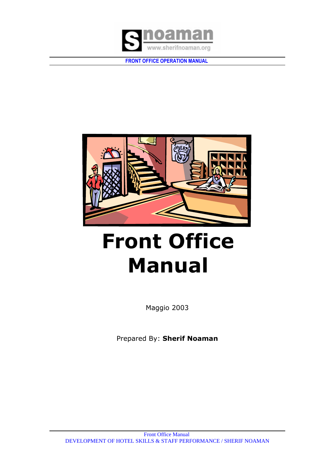



# **Front Office Manual**

Maggio 2003

Prepared By: **Sherif Noaman**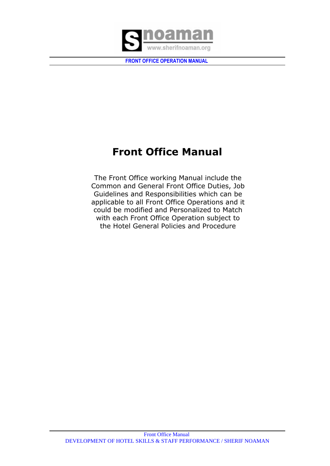

# **Front Office Manual**

The Front Office working Manual include the Common and General Front Office Duties, Job Guidelines and Responsibilities which can be applicable to all Front Office Operations and it could be modified and Personalized to Match with each Front Office Operation subject to the Hotel General Policies and Procedure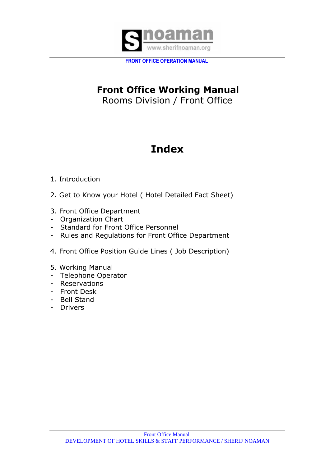

# **Front Office Working Manual**  Rooms Division / Front Office

# **Index**

# 1. Introduction

- 2. Get to Know your Hotel ( Hotel Detailed Fact Sheet)
- 3. Front Office Department
- Organization Chart
- Standard for Front Office Personnel
- Rules and Regulations for Front Office Department
- 4. Front Office Position Guide Lines ( Job Description)
- 5. Working Manual
- Telephone Operator
- Reservations
- Front Desk
- Bell Stand
- Drivers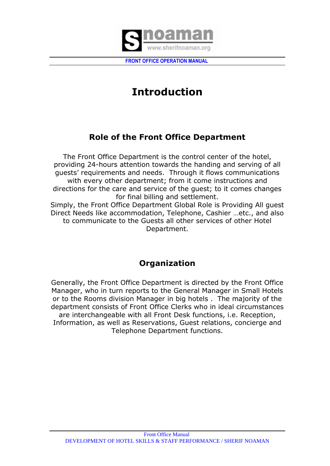

# **Introduction**

# **Role of the Front Office Department**

The Front Office Department is the control center of the hotel, providing 24-hours attention towards the handing and serving of all guests' requirements and needs. Through it flows communications with every other department; from it come instructions and directions for the care and service of the guest; to it comes changes for final billing and settlement. Simply, the Front Office Department Global Role is Providing All guest Direct Needs like accommodation, Telephone, Cashier …etc., and also to communicate to the Guests all other services of other Hotel Department.

# **Organization**

Generally, the Front Office Department is directed by the Front Office Manager, who in turn reports to the General Manager in Small Hotels or to the Rooms division Manager in big hotels . The majority of the department consists of Front Office Clerks who in ideal circumstances are interchangeable with all Front Desk functions, i.e. Reception, Information, as well as Reservations, Guest relations, concierge and Telephone Department functions.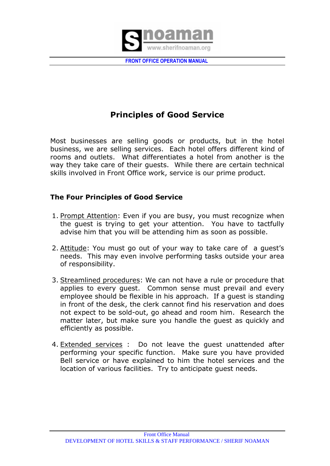

# **Principles of Good Service**

Most businesses are selling goods or products, but in the hotel business, we are selling services. Each hotel offers different kind of rooms and outlets. What differentiates a hotel from another is the way they take care of their guests. While there are certain technical skills involved in Front Office work, service is our prime product.

# **The Four Principles of Good Service**

- 1. Prompt Attention: Even if you are busy, you must recognize when the guest is trying to get your attention. You have to tactfully advise him that you will be attending him as soon as possible.
- 2. Attitude: You must go out of your way to take care of a guest's needs. This may even involve performing tasks outside your area of responsibility.
- 3. Streamlined procedures: We can not have a rule or procedure that applies to every guest. Common sense must prevail and every employee should be flexible in his approach. If a guest is standing in front of the desk, the clerk cannot find his reservation and does not expect to be sold-out, go ahead and room him. Research the matter later, but make sure you handle the guest as quickly and efficiently as possible.
- 4. Extended services : Do not leave the guest unattended after performing your specific function. Make sure you have provided Bell service or have explained to him the hotel services and the location of various facilities. Try to anticipate guest needs.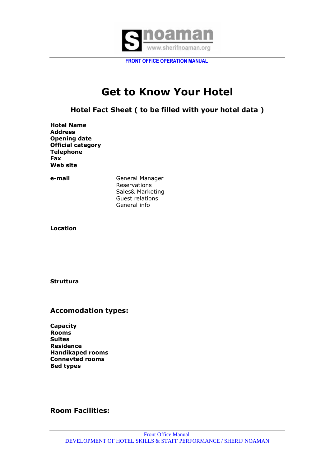

# **Get to Know Your Hotel**

**Hotel Fact Sheet ( to be filled with your hotel data )** 

**Hotel Name Address Opening date Official category Telephone Fax Web site** 

**e-mail** General Manager Reservations Sales& Marketing Guest relations General info

**Location** 

**Struttura** 

# **Accomodation types:**

**Capacity Rooms Suites Residence Handikaped rooms Connevted rooms Bed types**

# **Room Facilities:**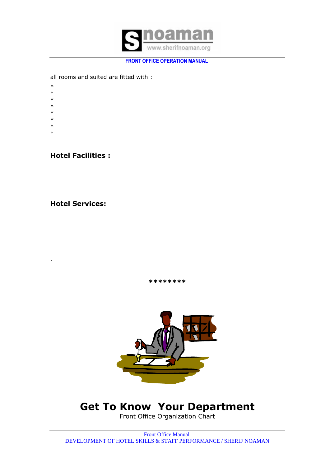

all rooms and suited are fitted with :

- \*
- \*
- \*
- \*
- \*
- \*
- \*
- \*

.

**Hotel Facilities :**

**Hotel Services:** 

**\*\*\*\*\*\*\*\***



# **Get To Know Your Department**

Front Office Organization Chart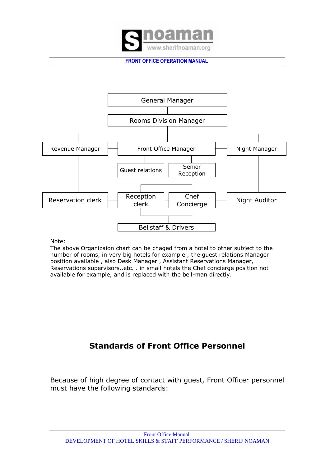



Note:

The above Organizaion chart can be chaged from a hotel to other subject to the number of rooms, in very big hotels for example , the guest relations Manager position available , also Desk Manager , Assistant Reservations Manager, Reservations supervisors..etc. . in small hotels the Chef concierge position not available for example, and is replaced with the bell-man directly.

# **Standards of Front Office Personnel**

Because of high degree of contact with guest, Front Officer personnel must have the following standards: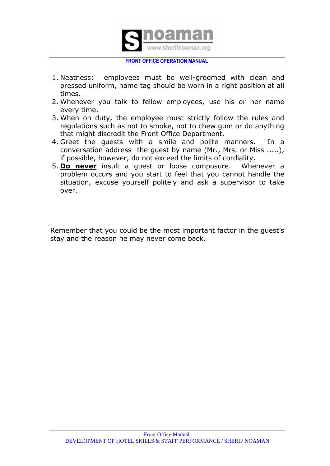

- 1. Neatness: employees must be well-groomed with clean and pressed uniform, name tag should be worn in a right position at all times.
- 2. Whenever you talk to fellow employees, use his or her name every time.
- 3. When on duty, the employee must strictly follow the rules and regulations such as not to smoke, not to chew gum or do anything that might discredit the Front Office Department.
- 4. Greet the guests with a smile and polite manners. In a conversation address the guest by name (Mr., Mrs. or Miss .....), if possible, however, do not exceed the limits of cordiality.
- 5. **Do never** insult a guest or loose composure. Whenever a problem occurs and you start to feel that you cannot handle the situation, excuse yourself politely and ask a supervisor to take over.

Remember that you could be the most important factor in the guest's stay and the reason he may never come back.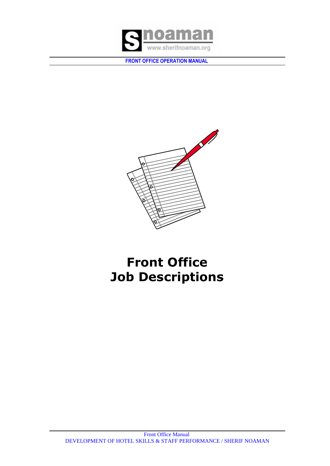



# **Front Office Job Descriptions**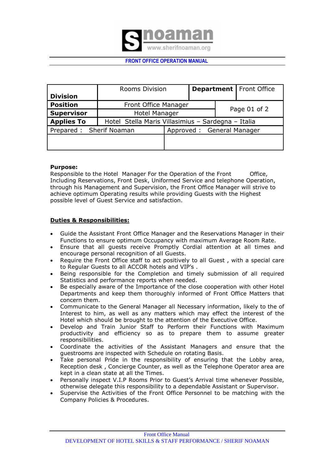

|                         | <b>Rooms Division</b>                              |              | <b>Department   Front Office</b> |  |  |
|-------------------------|----------------------------------------------------|--------------|----------------------------------|--|--|
| <b>Division</b>         |                                                    |              |                                  |  |  |
| <b>Position</b>         | Front Office Manager                               |              |                                  |  |  |
| <b>Supervisor</b>       | <b>Hotel Manager</b>                               | Page 01 of 2 |                                  |  |  |
| <b>Applies To</b>       | Hotel Stella Maris Villasimius - Sardegna - Italia |              |                                  |  |  |
| Prepared: Sherif Noaman |                                                    |              | Approved: General Manager        |  |  |
|                         |                                                    |              |                                  |  |  |
|                         |                                                    |              |                                  |  |  |

#### **Purpose:**

Responsible to the Hotel Manager For the Operation of the Front Office, Including Reservations, Front Desk, Uniformed Service and telephone Operation, through his Management and Supervision, the Front Office Manager will strive to achieve optimum Operating results while providing Guests with the Highest possible level of Guest Service and satisfaction.

### **Duties & Responsibilities:**

- Guide the Assistant Front Office Manager and the Reservations Manager in their Functions to ensure optimum Occupancy with maximum Average Room Rate.
- Ensure that all guests receive Promptly Cordial attention at all times and encourage personal recognition of all Guests.
- Require the Front Office staff to act positively to all Guest , with a special care to Regular Guests to all ACCOR hotels and VIP's .
- Being responsible for the Completion and timely submission of all required Statistics and performance reports when needed.
- Be especially aware of the Importance of the close cooperation with other Hotel Departments and keep them thoroughly informed of Front Office Matters that concern them.
- Communicate to the General Manager all Necessary information, likely to the of Interest to him, as well as any matters which may effect the interest of the Hotel which should be brought to the attention of the Executive Office.
- Develop and Train Junior Staff to Perform their Functions with Maximum productivity and efficiency so as to prepare them to assume greater responsibilities.
- Coordinate the activities of the Assistant Managers and ensure that the guestrooms are inspected with Schedule on rotating Basis.
- Take personal Pride in the responsibility of ensuring that the Lobby area, Reception desk , Concierge Counter, as well as the Telephone Operator area are kept in a clean state at all the Times.
- Personally inspect V.I.P Rooms Prior to Guest's Arrival time whenever Possible, otherwise delegate this responsibility to a dependable Assistant or Supervisor.
- Supervise the Activities of the Front Office Personnel to be matching with the Company Policies & Procedures.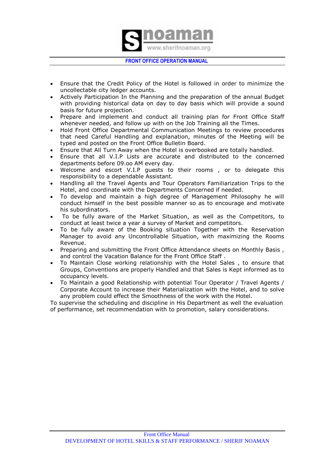

- Ensure that the Credit Policy of the Hotel is followed in order to minimize the uncollectable city ledger accounts.
- Actively Participation In the Planning and the preparation of the annual Budget with providing historical data on day to day basis which will provide a sound basis for future projection.
- Prepare and implement and conduct all training plan for Front Office Staff whenever needed, and follow up with on the Job Training all the Times.
- Hold Front Office Departmental Communication Meetings to review procedures that need Careful Handling and explanation, minutes of the Meeting will be typed and posted on the Front Office Bulletin Board.
- Ensure that All Turn Away when the Hotel is overbooked are totally handled.
- Ensure that all V.I.P Lists are accurate and distributed to the concerned departments before 09.oo AM every day.
- Welcome and escort V.I.P guests to their rooms , or to delegate this responsibility to a dependable Assistant.
- Handling all the Travel Agents and Tour Operators Familiarization Trips to the Hotel, and coordinate with the Departments Concerned if needed.
- To develop and maintain a high degree of Management Philosophy he will conduct himself in the best possible manner so as to encourage and motivate his subordinators.
- To be fully aware of the Market Situation, as well as the Competitors, to conduct at least twice a year a survey of Market and competitors.
- To be fully aware of the Booking situation Together with the Reservation Manager to avoid any Uncontrollable Situation, with maximizing the Rooms Revenue.
- Preparing and submitting the Front Office Attendance sheets on Monthly Basis , and control the Vacation Balance for the Front Office Staff .
- To Maintain Close working relationship with the Hotel Sales , to ensure that Groups, Conventions are properly Handled and that Sales is Kept informed as to occupancy levels.
- To Maintain a good Relationship with potential Tour Operator / Travel Agents / Corporate Account to increase their Materialization with the Hotel, and to solve any problem could effect the Smoothness of the work with the Hotel.

To supervise the scheduling and discipline in His Department as well the evaluation of performance, set recommendation with to promotion, salary considerations.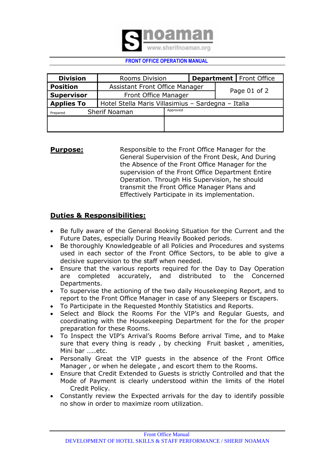

| <b>Division</b>   | <b>Rooms Division</b>                              | <b>Department</b>   Front Office |  |  |  |
|-------------------|----------------------------------------------------|----------------------------------|--|--|--|
| <b>Position</b>   | Assistant Front Office Manager                     |                                  |  |  |  |
| <b>Supervisor</b> | Front Office Manager                               | Page 01 of 2                     |  |  |  |
| <b>Applies To</b> | Hotel Stella Maris Villasimius - Sardegna - Italia |                                  |  |  |  |
| Prepared          | Sherif Noaman                                      | Approved                         |  |  |  |
|                   |                                                    |                                  |  |  |  |
|                   |                                                    |                                  |  |  |  |

# **Purpose:** Responsible to the Front Office Manager for the General Supervision of the Front Desk, And During the Absence of the Front Office Manager for the supervision of the Front Office Department Entire Operation. Through His Supervision, he should transmit the Front Office Manager Plans and Effectively Participate in its implementation.

# **Duties & Responsibilities:**

- Be fully aware of the General Booking Situation for the Current and the Future Dates, especially During Heavily Booked periods.
- Be thoroughly Knowledgeable of all Policies and Procedures and systems used in each sector of the Front Office Sectors, to be able to give a decisive supervision to the staff when needed.
- Ensure that the various reports required for the Day to Day Operation are completed accurately, and distributed to the Concerned Departments.
- To supervise the actioning of the two daily Housekeeping Report, and to report to the Front Office Manager in case of any Sleepers or Escapers.
- To Participate in the Requested Monthly Statistics and Reports.
- Select and Block the Rooms For the VIP's and Regular Guests, and coordinating with the Housekeeping Department for the for the proper preparation for these Rooms.
- To Inspect the VIP's Arrival's Rooms Before arrival Time, and to Make sure that every thing is ready , by checking Fruit basket , amenities, Mini bar …..etc.
- Personally Great the VIP guests in the absence of the Front Office Manager , or when he delegate , and escort them to the Rooms.
- Ensure that Credit Extended to Guests is strictly Controlled and that the Mode of Payment is clearly understood within the limits of the Hotel Credit Policy.
- Constantly review the Expected arrivals for the day to identify possible no show in order to maximize room utilization.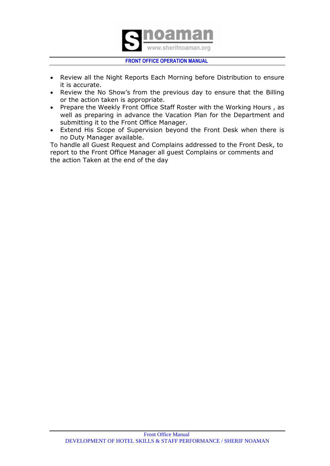

- Review all the Night Reports Each Morning before Distribution to ensure it is accurate.
- Review the No Show's from the previous day to ensure that the Billing or the action taken is appropriate.
- Prepare the Weekly Front Office Staff Roster with the Working Hours, as well as preparing in advance the Vacation Plan for the Department and submitting it to the Front Office Manager.
- Extend His Scope of Supervision beyond the Front Desk when there is no Duty Manager available.

To handle all Guest Request and Complains addressed to the Front Desk, to report to the Front Office Manager all guest Complains or comments and the action Taken at the end of the day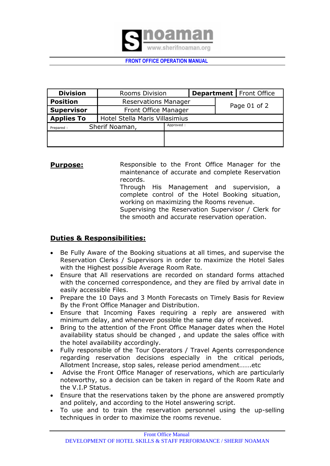

| <b>Division</b>   | <b>Rooms Division</b>          | <b>Department</b>   Front Office |  |              |  |
|-------------------|--------------------------------|----------------------------------|--|--------------|--|
| <b>Position</b>   | <b>Reservations Manager</b>    |                                  |  |              |  |
| <b>Supervisor</b> | Front Office Manager           |                                  |  | Page 01 of 2 |  |
| <b>Applies To</b> | Hotel Stella Maris Villasimius |                                  |  |              |  |
| Prepared:         | Sherif Noaman,                 | Approved:                        |  |              |  |
|                   |                                |                                  |  |              |  |
|                   |                                |                                  |  |              |  |

**Purpose:** Responsible to the Front Office Manager for the maintenance of accurate and complete Reservation records. Through His Management and supervision, a complete control of the Hotel Booking situation, working on maximizing the Rooms revenue. Supervising the Reservation Supervisor / Clerk for

the smooth and accurate reservation operation.

# **Duties & Responsibilities:**

- Be Fully Aware of the Booking situations at all times, and supervise the Reservation Clerks / Supervisors in order to maximize the Hotel Sales with the Highest possible Average Room Rate.
- Ensure that All reservations are recorded on standard forms attached with the concerned correspondence, and they are filed by arrival date in easily accessible Files.
- Prepare the 10 Days and 3 Month Forecasts on Timely Basis for Review By the Front Office Manager and Distribution.
- Ensure that Incoming Faxes requiring a reply are answered with minimum delay, and whenever possible the same day of received.
- Bring to the attention of the Front Office Manager dates when the Hotel availability status should be changed , and update the sales office with the hotel availability accordingly.
- Fully responsible of the Tour Operators / Travel Agents correspondence regarding reservation decisions especially in the critical periods, Allotment Increase, stop sales, release period amendment…….etc
- Advise the Front Office Manager of reservations, which are particularly noteworthy, so a decision can be taken in regard of the Room Rate and the V.I.P Status.
- Ensure that the reservations taken by the phone are answered promptly and politely, and according to the Hotel answering script.
- To use and to train the reservation personnel using the up-selling techniques in order to maximize the rooms revenue.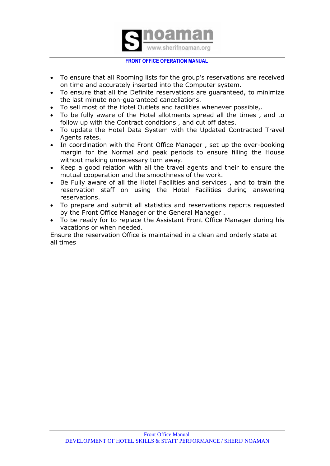

- To ensure that all Rooming lists for the group's reservations are received on time and accurately inserted into the Computer system.
- To ensure that all the Definite reservations are guaranteed, to minimize the last minute non-guaranteed cancellations.
- To sell most of the Hotel Outlets and facilities whenever possible,.
- To be fully aware of the Hotel allotments spread all the times , and to follow up with the Contract conditions , and cut off dates.
- To update the Hotel Data System with the Updated Contracted Travel Agents rates.
- In coordination with the Front Office Manager, set up the over-booking margin for the Normal and peak periods to ensure filling the House without making unnecessary turn away.
- Keep a good relation with all the travel agents and their to ensure the mutual cooperation and the smoothness of the work.
- Be Fully aware of all the Hotel Facilities and services , and to train the reservation staff on using the Hotel Facilities during answering reservations.
- To prepare and submit all statistics and reservations reports requested by the Front Office Manager or the General Manager .
- To be ready for to replace the Assistant Front Office Manager during his vacations or when needed.

Ensure the reservation Office is maintained in a clean and orderly state at all times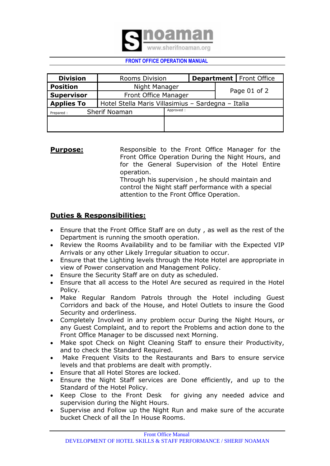

| <b>Division</b>                         | Rooms Division                                     |  |  |              | <b>Department   Front Office</b> |  |
|-----------------------------------------|----------------------------------------------------|--|--|--------------|----------------------------------|--|
| <b>Position</b>                         | Night Manager                                      |  |  |              |                                  |  |
| <b>Supervisor</b>                       | Front Office Manager                               |  |  | Page 01 of 2 |                                  |  |
| <b>Applies To</b>                       | Hotel Stella Maris Villasimius - Sardegna - Italia |  |  |              |                                  |  |
| Approved:<br>Sherif Noaman<br>Prepared: |                                                    |  |  |              |                                  |  |
|                                         |                                                    |  |  |              |                                  |  |
|                                         |                                                    |  |  |              |                                  |  |

# **Purpose:** Responsible to the Front Office Manager for the Front Office Operation During the Night Hours, and for the General Supervision of the Hotel Entire operation. Through his supervision , he should maintain and control the Night staff performance with a special

attention to the Front Office Operation.

# **Duties & Responsibilities:**

- Ensure that the Front Office Staff are on duty , as well as the rest of the Department is running the smooth operation.
- Review the Rooms Availability and to be familiar with the Expected VIP Arrivals or any other Likely Irregular situation to occur.
- Ensure that the Lighting levels through the Hote Hotel are appropriate in view of Power conservation and Management Policy.
- Ensure the Security Staff are on duty as scheduled.
- Ensure that all access to the Hotel Are secured as required in the Hotel Policy.
- Make Regular Random Patrols through the Hotel including Guest Corridors and back of the House, and Hotel Outlets to insure the Good Security and orderliness.
- Completely Involved in any problem occur During the Night Hours, or any Guest Complaint, and to report the Problems and action done to the Front Office Manager to be discussed next Morning.
- Make spot Check on Night Cleaning Staff to ensure their Productivity, and to check the Standard Required.
- Make Frequent Visits to the Restaurants and Bars to ensure service levels and that problems are dealt with promptly.
- Ensure that all Hotel Stores are locked.
- Ensure the Night Staff services are Done efficiently, and up to the Standard of the Hotel Policy.
- Keep Close to the Front Desk for giving any needed advice and supervision during the Night Hours.
- Supervise and Follow up the Night Run and make sure of the accurate bucket Check of all the In House Rooms.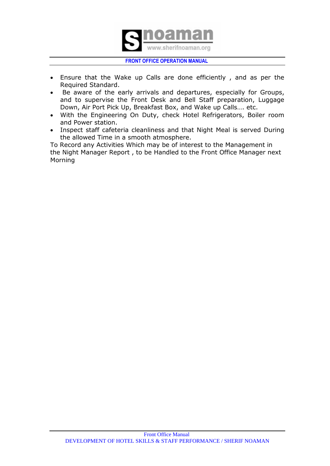

- Ensure that the Wake up Calls are done efficiently , and as per the Required Standard.
- Be aware of the early arrivals and departures, especially for Groups, and to supervise the Front Desk and Bell Staff preparation, Luggage Down, Air Port Pick Up, Breakfast Box, and Wake up Calls…. etc.
- With the Engineering On Duty, check Hotel Refrigerators, Boiler room and Power station.
- Inspect staff cafeteria cleanliness and that Night Meal is served During the allowed Time in a smooth atmosphere.

To Record any Activities Which may be of interest to the Management in the Night Manager Report , to be Handled to the Front Office Manager next Morning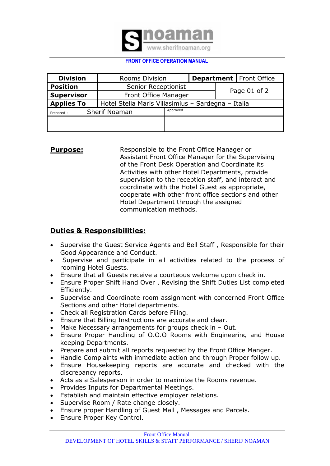

| <b>Division</b>   | <b>Rooms Division</b>                              | <b>Department   Front Office</b> |  |              |  |  |
|-------------------|----------------------------------------------------|----------------------------------|--|--------------|--|--|
| <b>Position</b>   | Senior Receptionist                                |                                  |  |              |  |  |
| <b>Supervisor</b> | Front Office Manager                               |                                  |  | Page 01 of 2 |  |  |
| <b>Applies To</b> | Hotel Stella Maris Villasimius - Sardegna - Italia |                                  |  |              |  |  |
| Prepared:         | <b>Sherif Noaman</b>                               | Approved                         |  |              |  |  |
|                   |                                                    |                                  |  |              |  |  |
|                   |                                                    |                                  |  |              |  |  |

# **Purpose:** Responsible to the Front Office Manager or Assistant Front Office Manager for the Supervising of the Front Desk Operation and Coordinate its Activities with other Hotel Departments, provide supervision to the reception staff, and interact and coordinate with the Hotel Guest as appropriate, cooperate with other front office sections and other Hotel Department through the assigned communication methods.

# **Duties & Responsibilities:**

- Supervise the Guest Service Agents and Bell Staff, Responsible for their Good Appearance and Conduct.
- Supervise and participate in all activities related to the process of rooming Hotel Guests.
- Ensure that all Guests receive a courteous welcome upon check in.
- Ensure Proper Shift Hand Over , Revising the Shift Duties List completed Efficiently.
- Supervise and Coordinate room assignment with concerned Front Office Sections and other Hotel departments.
- Check all Registration Cards before Filing.
- Ensure that Billing Instructions are accurate and clear.
- $\bullet$  Make Necessary arrangements for groups check in  $-$  Out.
- Ensure Proper Handling of O.O.O Rooms with Engineering and House keeping Departments.
- Prepare and submit all reports requested by the Front Office Manger.
- Handle Complaints with immediate action and through Proper follow up.
- Ensure Housekeeping reports are accurate and checked with the discrepancy reports.
- Acts as a Salesperson in order to maximize the Rooms revenue.
- Provides Inputs for Departmental Meetings.
- Establish and maintain effective employer relations.
- Supervise Room / Rate change closely.
- Ensure proper Handling of Guest Mail , Messages and Parcels.
- Ensure Proper Key Control.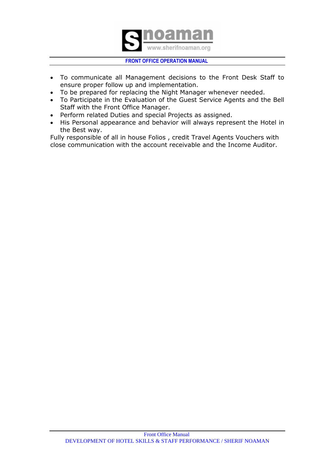

- To communicate all Management decisions to the Front Desk Staff to ensure proper follow up and implementation.
- To be prepared for replacing the Night Manager whenever needed.
- To Participate in the Evaluation of the Guest Service Agents and the Bell Staff with the Front Office Manager.
- Perform related Duties and special Projects as assigned.
- His Personal appearance and behavior will always represent the Hotel in the Best way.

Fully responsible of all in house Folios , credit Travel Agents Vouchers with close communication with the account receivable and the Income Auditor.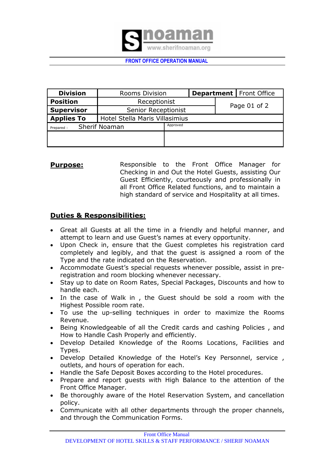

| <b>Division</b>   | <b>Rooms Division</b>          |              |  |  | <b>Department</b>   Front Office |  |
|-------------------|--------------------------------|--------------|--|--|----------------------------------|--|
| <b>Position</b>   | Receptionist                   |              |  |  |                                  |  |
| <b>Supervisor</b> | Senior Receptionist            | Page 01 of 2 |  |  |                                  |  |
| <b>Applies To</b> | Hotel Stella Maris Villasimius |              |  |  |                                  |  |
| Prepared:         | <b>Sherif Noaman</b>           | Approved     |  |  |                                  |  |
|                   |                                |              |  |  |                                  |  |
|                   |                                |              |  |  |                                  |  |

**Purpose:** Responsible to the Front Office Manager for Checking in and Out the Hotel Guests, assisting Our Guest Efficiently, courteously and professionally in all Front Office Related functions, and to maintain a high standard of service and Hospitality at all times.

# **Duties & Responsibilities:**

- Great all Guests at all the time in a friendly and helpful manner, and attempt to learn and use Guest's names at every opportunity.
- Upon Check in, ensure that the Guest completes his registration card completely and legibly, and that the guest is assigned a room of the Type and the rate indicated on the Reservation.
- Accommodate Guest's special requests whenever possible, assist in preregistration and room blocking whenever necessary.
- Stay up to date on Room Rates, Special Packages, Discounts and how to handle each.
- In the case of Walk in , the Guest should be sold a room with the Highest Possible room rate.
- To use the up-selling techniques in order to maximize the Rooms Revenue.
- Being Knowledgeable of all the Credit cards and cashing Policies , and How to Handle Cash Properly and efficiently.
- Develop Detailed Knowledge of the Rooms Locations, Facilities and Types.
- Develop Detailed Knowledge of the Hotel's Key Personnel, service , outlets, and hours of operation for each.
- Handle the Safe Deposit Boxes according to the Hotel procedures.
- Prepare and report quests with High Balance to the attention of the Front Office Manager.
- Be thoroughly aware of the Hotel Reservation System, and cancellation policy.
- Communicate with all other departments through the proper channels, and through the Communication Forms.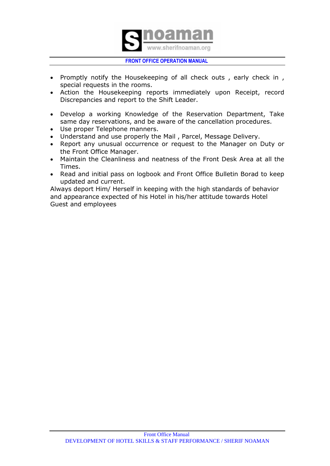

- Promptly notify the Housekeeping of all check outs, early check in, special requests in the rooms.
- Action the Housekeeping reports immediately upon Receipt, record Discrepancies and report to the Shift Leader.
- Develop a working Knowledge of the Reservation Department, Take same day reservations, and be aware of the cancellation procedures.
- Use proper Telephone manners.
- Understand and use properly the Mail , Parcel, Message Delivery.
- Report any unusual occurrence or request to the Manager on Duty or the Front Office Manager.
- Maintain the Cleanliness and neatness of the Front Desk Area at all the Times.
- Read and initial pass on logbook and Front Office Bulletin Borad to keep updated and current.

Always deport Him/ Herself in keeping with the high standards of behavior and appearance expected of his Hotel in his/her attitude towards Hotel Guest and employees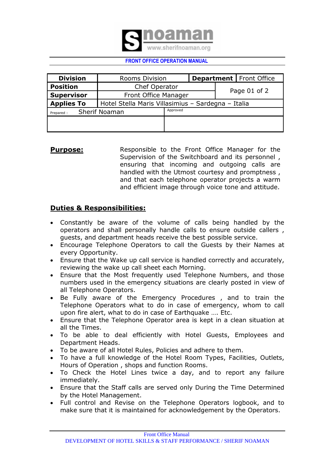

| <b>Division</b>   | Rooms Division                                     |          |  |              | <b>Department   Front Office</b> |
|-------------------|----------------------------------------------------|----------|--|--------------|----------------------------------|
| <b>Position</b>   | Chef Operator                                      |          |  |              |                                  |
| <b>Supervisor</b> | Front Office Manager                               |          |  | Page 01 of 2 |                                  |
| <b>Applies To</b> | Hotel Stella Maris Villasimius - Sardegna - Italia |          |  |              |                                  |
| Prepared:         | <b>Sherif Noaman</b>                               | Approved |  |              |                                  |
|                   |                                                    |          |  |              |                                  |
|                   |                                                    |          |  |              |                                  |

**Purpose:** Responsible to the Front Office Manager for the Supervision of the Switchboard and its personnel , ensuring that incoming and outgoing calls are handled with the Utmost courtesy and promptness , and that each telephone operator projects a warm and efficient image through voice tone and attitude.

# **Duties & Responsibilities:**

- Constantly be aware of the volume of calls being handled by the operators and shall personally handle calls to ensure outside callers , guests, and department heads receive the best possible service.
- Encourage Telephone Operators to call the Guests by their Names at every Opportunity.
- Ensure that the Wake up call service is handled correctly and accurately, reviewing the wake up call sheet each Morning.
- Ensure that the Most frequently used Telephone Numbers, and those numbers used in the emergency situations are clearly posted in view of all Telephone Operators.
- Be Fully aware of the Emergency Procedures , and to train the Telephone Operators what to do in case of emergency, whom to call upon fire alert, what to do in case of Earthquake …. Etc.
- Ensure that the Telephone Operator area is kept in a clean situation at all the Times.
- To be able to deal efficiently with Hotel Guests, Employees and Department Heads.
- To be aware of all Hotel Rules, Policies and adhere to them.
- To have a full knowledge of the Hotel Room Types, Facilities, Outlets, Hours of Operation , shops and function Rooms.
- To Check the Hotel Lines twice a day, and to report any failure immediately.
- Ensure that the Staff calls are served only During the Time Determined by the Hotel Management.
- Full control and Revise on the Telephone Operators logbook, and to make sure that it is maintained for acknowledgement by the Operators.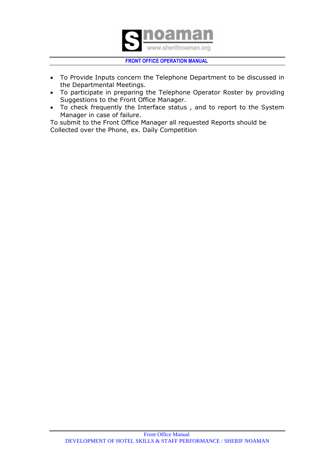

- To Provide Inputs concern the Telephone Department to be discussed in the Departmental Meetings.
- To participate in preparing the Telephone Operator Roster by providing Suggestions to the Front Office Manager.
- To check frequently the Interface status, and to report to the System Manager in case of failure.

To submit to the Front Office Manager all requested Reports should be Collected over the Phone, ex. Daily Competition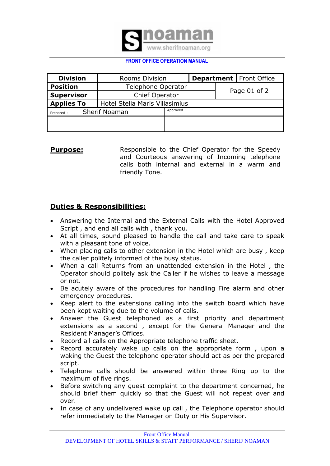

| <b>Division</b>                   | <b>Rooms Division</b>          |              |  |  | <b>Department   Front Office</b> |  |
|-----------------------------------|--------------------------------|--------------|--|--|----------------------------------|--|
| <b>Position</b>                   | Telephone Operator             |              |  |  |                                  |  |
| <b>Supervisor</b>                 | <b>Chief Operator</b>          | Page 01 of 2 |  |  |                                  |  |
| <b>Applies To</b>                 | Hotel Stella Maris Villasimius |              |  |  |                                  |  |
| <b>Sherif Noaman</b><br>Prepared: | Approved:                      |              |  |  |                                  |  |
|                                   |                                |              |  |  |                                  |  |
|                                   |                                |              |  |  |                                  |  |

**Purpose:** Responsible to the Chief Operator for the Speedy and Courteous answering of Incoming telephone calls both internal and external in a warm and friendly Tone.

# **Duties & Responsibilities:**

- Answering the Internal and the External Calls with the Hotel Approved Script , and end all calls with , thank you.
- At all times, sound pleased to handle the call and take care to speak with a pleasant tone of voice.
- When placing calls to other extension in the Hotel which are busy , keep the caller politely informed of the busy status.
- When a call Returns from an unattended extension in the Hotel , the Operator should politely ask the Caller if he wishes to leave a message or not.
- Be acutely aware of the procedures for handling Fire alarm and other emergency procedures.
- Keep alert to the extensions calling into the switch board which have been kept waiting due to the volume of calls.
- Answer the Guest telephoned as a first priority and department extensions as a second , except for the General Manager and the Resident Manager's Offices.
- Record all calls on the Appropriate telephone traffic sheet.
- Record accurately wake up calls on the appropriate form, upon a waking the Guest the telephone operator should act as per the prepared script.
- Telephone calls should be answered within three Ring up to the maximum of five rings.
- Before switching any guest complaint to the department concerned, he should brief them quickly so that the Guest will not repeat over and over.
- In case of any undelivered wake up call , the Telephone operator should refer immediately to the Manager on Duty or His Supervisor.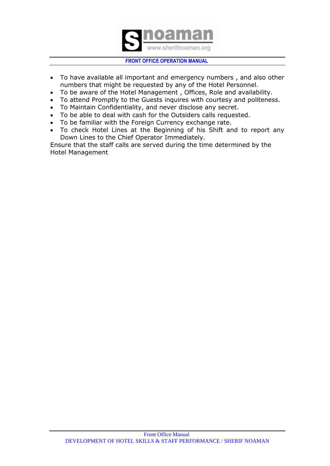

- To have available all important and emergency numbers , and also other numbers that might be requested by any of the Hotel Personnel.
- To be aware of the Hotel Management , Offices, Role and availability.
- To attend Promptly to the Guests inquires with courtesy and politeness.
- To Maintain Confidentiality, and never disclose any secret.
- To be able to deal with cash for the Outsiders calls requested.
- To be familiar with the Foreign Currency exchange rate.
- To check Hotel Lines at the Beginning of his Shift and to report any Down Lines to the Chief Operator Immediately.

Ensure that the staff calls are served during the time determined by the Hotel Management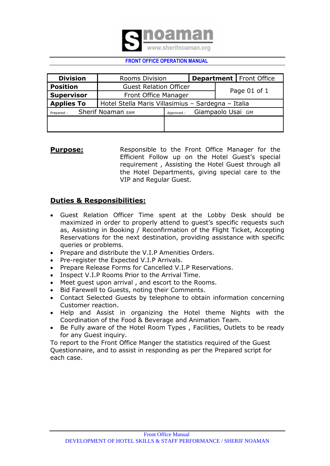

| <b>Division</b>                | <b>Rooms Division</b>                              | <b>Department</b>   Front Office |  |  |  |
|--------------------------------|----------------------------------------------------|----------------------------------|--|--|--|
| <b>Position</b>                | <b>Guest Relation Officer</b>                      |                                  |  |  |  |
| <b>Supervisor</b>              | Front Office Manager                               | Page 01 of 1                     |  |  |  |
| <b>Applies To</b>              | Hotel Stella Maris Villasimius - Sardegna - Italia |                                  |  |  |  |
| Sherif Noaman EAM<br>Prepared: | Approved:                                          | Giampaolo Usai GM                |  |  |  |
|                                |                                                    |                                  |  |  |  |
|                                |                                                    |                                  |  |  |  |

**Purpose:** Responsible to the Front Office Manager for the Efficient Follow up on the Hotel Guest's special requirement , Assisting the Hotel Guest through all the Hotel Departments, giving special care to the VIP and Regular Guest.

# **Duties & Responsibilities:**

- Guest Relation Officer Time spent at the Lobby Desk should be maximized in order to properly attend to guest's specific requests such as, Assisting in Booking / Reconfirmation of the Flight Ticket, Accepting Reservations for the next destination, providing assistance with specific queries or problems.
- Prepare and distribute the V.I.P Amenities Orders.
- Pre-register the Expected V.I.P Arrivals.
- Prepare Release Forms for Cancelled V.I.P Reservations.
- Inspect V.I.P Rooms Prior to the Arrival Time.
- Meet guest upon arrival , and escort to the Rooms.
- Bid Farewell to Guests, noting their Comments.
- Contact Selected Guests by telephone to obtain information concerning Customer reaction.
- Help and Assist in organizing the Hotel theme Nights with the Coordination of the Food & Beverage and Animation Team.
- Be Fully aware of the Hotel Room Types, Facilities, Outlets to be ready for any Guest inquiry.

To report to the Front Office Manger the statistics required of the Guest Questionnaire, and to assist in responding as per the Prepared script for each case.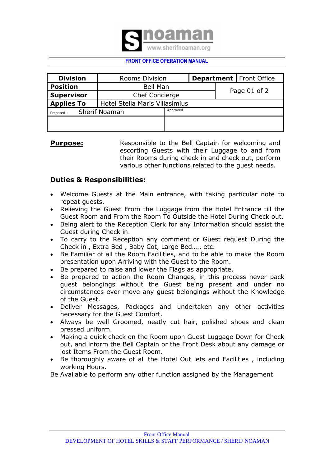

| <b>Division</b>                            |                                | <b>Rooms Division</b> |              |  | <b>Department   Front Office</b> |
|--------------------------------------------|--------------------------------|-----------------------|--------------|--|----------------------------------|
| <b>Position</b>                            | <b>Bell Man</b>                |                       | Page 01 of 2 |  |                                  |
| <b>Supervisor</b><br><b>Chef Concierge</b> |                                |                       |              |  |                                  |
| <b>Applies To</b>                          | Hotel Stella Maris Villasimius |                       |              |  |                                  |
| <b>Sherif Noaman</b><br>Prepared:          | Approved                       |                       |              |  |                                  |
|                                            |                                |                       |              |  |                                  |
|                                            |                                |                       |              |  |                                  |

**Purpose:** Responsible to the Bell Captain for welcoming and escorting Guests with their Luggage to and from their Rooms during check in and check out, perform various other functions related to the guest needs.

# **Duties & Responsibilities:**

- Welcome Guests at the Main entrance, with taking particular note to repeat guests.
- Relieving the Guest From the Luggage from the Hotel Entrance till the Guest Room and From the Room To Outside the Hotel During Check out.
- Being alert to the Reception Clerk for any Information should assist the Guest during Check in.
- To carry to the Reception any comment or Guest request During the Check in , Extra Bed , Baby Cot, Large Bed….. etc.
- Be Familiar of all the Room Facilities, and to be able to make the Room presentation upon Arriving with the Guest to the Room.
- Be prepared to raise and lower the Flags as appropriate.
- Be prepared to action the Room Changes, in this process never pack guest belongings without the Guest being present and under no circumstances ever move any guest belongings without the Knowledge of the Guest.
- Deliver Messages, Packages and undertaken any other activities necessary for the Guest Comfort.
- Always be well Groomed, neatly cut hair, polished shoes and clean pressed uniform.
- Making a quick check on the Room upon Guest Luggage Down for Check out, and inform the Bell Captain or the Front Desk about any damage or lost Items From the Guest Room.
- Be thoroughly aware of all the Hotel Out lets and Facilities, including working Hours.

Be Available to perform any other function assigned by the Management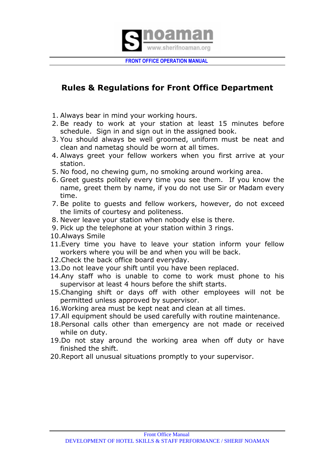

# **Rules & Regulations for Front Office Department**

- 1. Always bear in mind your working hours.
- 2. Be ready to work at your station at least 15 minutes before schedule. Sign in and sign out in the assigned book.
- 3. You should always be well groomed, uniform must be neat and clean and nametag should be worn at all times.
- 4. Always greet your fellow workers when you first arrive at your station.
- 5. No food, no chewing gum, no smoking around working area.
- 6. Greet guests politely every time you see them. If you know the name, greet them by name, if you do not use Sir or Madam every time.
- 7. Be polite to guests and fellow workers, however, do not exceed the limits of courtesy and politeness.
- 8. Never leave your station when nobody else is there.
- 9. Pick up the telephone at your station within 3 rings.
- 10.Always Smile
- 11.Every time you have to leave your station inform your fellow workers where you will be and when you will be back.
- 12.Check the back office board everyday.
- 13.Do not leave your shift until you have been replaced.
- 14.Any staff who is unable to come to work must phone to his supervisor at least 4 hours before the shift starts.
- 15.Changing shift or days off with other employees will not be permitted unless approved by supervisor.
- 16.Working area must be kept neat and clean at all times.
- 17.All equipment should be used carefully with routine maintenance.
- 18.Personal calls other than emergency are not made or received while on duty.
- 19.Do not stay around the working area when off duty or have finished the shift.
- 20.Report all unusual situations promptly to your supervisor.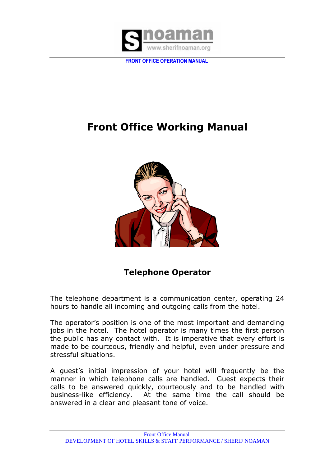

# **Front Office Working Manual**



# **Telephone Operator**

The telephone department is a communication center, operating 24 hours to handle all incoming and outgoing calls from the hotel.

The operator's position is one of the most important and demanding jobs in the hotel. The hotel operator is many times the first person the public has any contact with. It is imperative that every effort is made to be courteous, friendly and helpful, even under pressure and stressful situations.

A guest's initial impression of your hotel will frequently be the manner in which telephone calls are handled. Guest expects their calls to be answered quickly, courteously and to be handled with business-like efficiency. At the same time the call should be answered in a clear and pleasant tone of voice.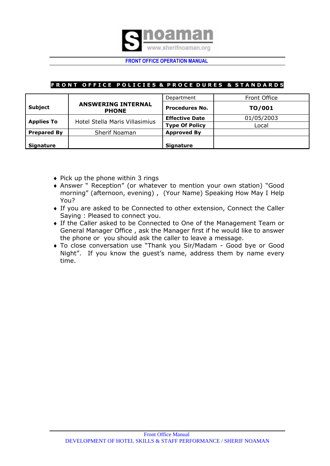

# **FRONT OFFICE POLICIES & PROCE DURES & STANDARDS**

|                    |                                           | Department            | Front Office |
|--------------------|-------------------------------------------|-----------------------|--------------|
| <b>Subject</b>     | <b>ANSWERING INTERNAL</b><br><b>PHONE</b> | <b>Procedures No.</b> | TO/001       |
|                    | Hotel Stella Maris Villasimius            | <b>Effective Date</b> | 01/05/2003   |
| <b>Applies To</b>  |                                           | <b>Type Of Policy</b> | Local        |
| <b>Prepared By</b> | Sherif Noaman                             | <b>Approved By</b>    |              |
| <b>Signature</b>   |                                           | <b>Signature</b>      |              |

- $\bullet$  Pick up the phone within 3 rings
- Answer " Reception" (or whatever to mention your own station) "Good morning" (afternoon, evening) , (Your Name) Speaking How May I Help You?
- If you are asked to be Connected to other extension, Connect the Caller Saying : Pleased to connect you.
- If the Caller asked to be Connected to One of the Management Team or General Manager Office , ask the Manager first if he would like to answer the phone or you should ask the caller to leave a message.
- To close conversation use "Thank you Sir/Madam Good bye or Good Night". If you know the guest's name, address them by name every time.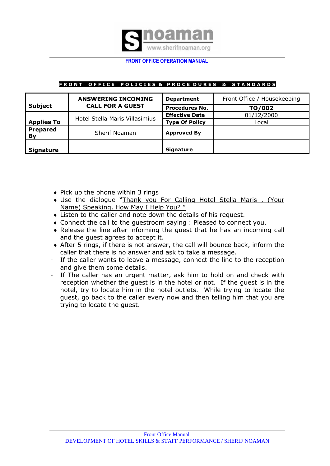

# FRONT OFFICE POLICIES & PROCE DURES & STANDARDS

|                       | <b>ANSWERING INCOMING</b>      | <b>Department</b>     | Front Office / Housekeeping |
|-----------------------|--------------------------------|-----------------------|-----------------------------|
| <b>Subject</b>        | <b>CALL FOR A GUEST</b>        | <b>Procedures No.</b> | TO/002                      |
|                       | Hotel Stella Maris Villasimius | <b>Effective Date</b> | 01/12/2000                  |
| <b>Applies To</b>     |                                | <b>Type Of Policy</b> | Local                       |
| <b>Prepared</b><br>By | Sherif Noaman                  | <b>Approved By</b>    |                             |
| <b>Signature</b>      |                                | <b>Signature</b>      |                             |

- $\bullet$  Pick up the phone within 3 rings
- Use the dialogue "Thank you For Calling Hotel Stella Maris , (Your Name) Speaking, How May I Help You? "
- Listen to the caller and note down the details of his request.
- Connect the call to the guestroom saying : Pleased to connect you.
- Release the line after informing the guest that he has an incoming call and the guest agrees to accept it.
- After 5 rings, if there is not answer, the call will bounce back, inform the caller that there is no answer and ask to take a message.
- If the caller wants to leave a message, connect the line to the reception and give them some details.
- If The caller has an urgent matter, ask him to hold on and check with reception whether the guest is in the hotel or not. If the guest is in the hotel, try to locate him in the hotel outlets. While trying to locate the guest, go back to the caller every now and then telling him that you are trying to locate the guest.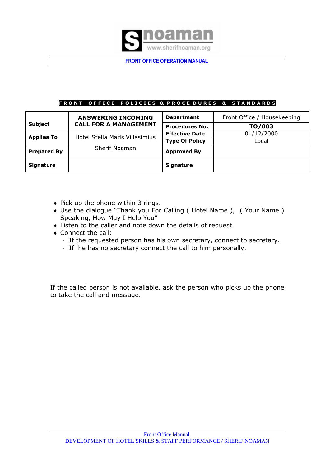

#### FRONT OFFICE POLICIES & PROCE DURES & STANDARDS

|                    | <b>ANSWERING INCOMING</b><br><b>CALL FOR A MANAGEMENT</b> | <b>Department</b>     | Front Office / Housekeeping |
|--------------------|-----------------------------------------------------------|-----------------------|-----------------------------|
| <b>Subject</b>     |                                                           | <b>Procedures No.</b> | TO/003                      |
|                    | Hotel Stella Maris Villasimius                            | <b>Effective Date</b> | 01/12/2000                  |
| <b>Applies To</b>  |                                                           | <b>Type Of Policy</b> | Local                       |
| <b>Prepared By</b> | Sherif Noaman                                             | <b>Approved By</b>    |                             |
| <b>Signature</b>   |                                                           | <b>Signature</b>      |                             |

- $\bullet$  Pick up the phone within 3 rings.
- Use the dialogue "Thank you For Calling ( Hotel Name ), ( Your Name ) Speaking, How May I Help You"
- Listen to the caller and note down the details of request
- Connect the call:
	- If the requested person has his own secretary, connect to secretary.
	- If he has no secretary connect the call to him personally.

If the called person is not available, ask the person who picks up the phone to take the call and message.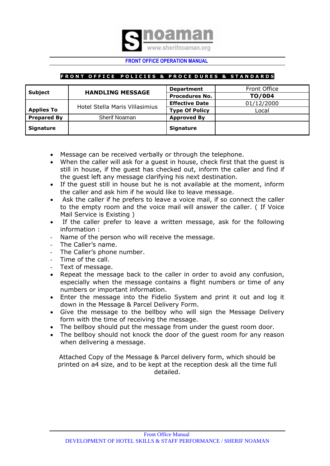

# **FRONT OFFICE POLICIES & PROCE DURES & STANDARDS**

| <b>Subject</b>     | <b>HANDLING MESSAGE</b>        | <b>Department</b>     | Front Office |
|--------------------|--------------------------------|-----------------------|--------------|
|                    |                                | <b>Procedures No.</b> | TO/004       |
|                    |                                | <b>Effective Date</b> | 01/12/2000   |
| <b>Applies To</b>  | Hotel Stella Maris Villasimius | <b>Type Of Policy</b> | Local        |
| <b>Prepared By</b> | <b>Sherif Noaman</b>           | <b>Approved By</b>    |              |
| <b>Signature</b>   |                                | <b>Signature</b>      |              |

- Message can be received verbally or through the telephone.
- When the caller will ask for a guest in house, check first that the guest is still in house, if the guest has checked out, inform the caller and find if the guest left any message clarifying his next destination.
- If the guest still in house but he is not available at the moment, inform the caller and ask him if he would like to leave message.
- Ask the caller if he prefers to leave a voice mail, if so connect the caller to the empty room and the voice mail will answer the caller. ( If Voice Mail Service is Existing )
- If the caller prefer to leave a written message, ask for the following information :
- Name of the person who will receive the message.
- The Caller's name.
- The Caller's phone number.
- Time of the call.
- Text of message.
- Repeat the message back to the caller in order to avoid any confusion, especially when the message contains a flight numbers or time of any numbers or important information.
- Enter the message into the Fidelio System and print it out and log it down in the Message & Parcel Delivery Form.
- Give the message to the bellboy who will sign the Message Delivery form with the time of receiving the message.
- The bellboy should put the message from under the guest room door.
- The bellboy should not knock the door of the guest room for any reason when delivering a message.

Attached Copy of the Message & Parcel delivery form, which should be printed on a4 size, and to be kept at the reception desk all the time full detailed.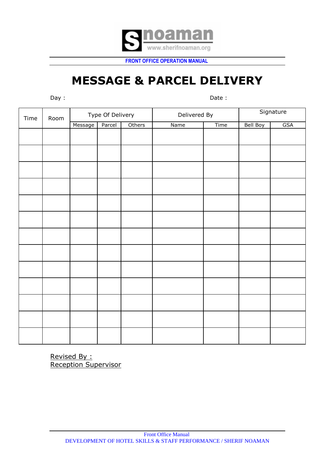

# **MESSAGE & PARCEL DELIVERY**

Day : Date :

| Time | Room |         | Type Of Delivery |        |      | Delivered By |          | Signature  |  |
|------|------|---------|------------------|--------|------|--------------|----------|------------|--|
|      |      | Message | Parcel           | Others | Name | <b>Time</b>  | Bell Boy | <b>GSA</b> |  |
|      |      |         |                  |        |      |              |          |            |  |
|      |      |         |                  |        |      |              |          |            |  |
|      |      |         |                  |        |      |              |          |            |  |
|      |      |         |                  |        |      |              |          |            |  |
|      |      |         |                  |        |      |              |          |            |  |
|      |      |         |                  |        |      |              |          |            |  |
|      |      |         |                  |        |      |              |          |            |  |
|      |      |         |                  |        |      |              |          |            |  |
|      |      |         |                  |        |      |              |          |            |  |
|      |      |         |                  |        |      |              |          |            |  |
|      |      |         |                  |        |      |              |          |            |  |
|      |      |         |                  |        |      |              |          |            |  |
|      |      |         |                  |        |      |              |          |            |  |

Revised By : Reception Supervisor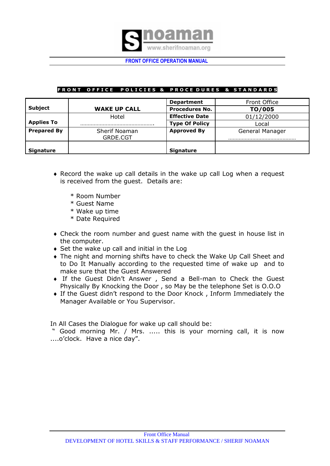

# FRONT OFFICE POLICIES & PROCEDURES & STANDARDS

|                    |                           | <b>Department</b>     | Front Office    |
|--------------------|---------------------------|-----------------------|-----------------|
| <b>Subject</b>     | <b>WAKE UP CALL</b>       | <b>Procedures No.</b> | TO/005          |
|                    | Hotel                     | <b>Effective Date</b> | 01/12/2000      |
| <b>Applies To</b>  |                           | <b>Type Of Policy</b> | Local           |
| <b>Prepared By</b> | Sherif Noaman<br>GRDE.CGT | <b>Approved By</b>    | General Manager |
|                    |                           |                       |                 |
| <b>Signature</b>   |                           | <b>Signature</b>      |                 |

- Record the wake up call details in the wake up call Log when a request is received from the guest. Details are:
	- \* Room Number
	- \* Guest Name
	- \* Wake up time
	- \* Date Required
- Check the room number and guest name with the guest in house list in the computer.
- ◆ Set the wake up call and initial in the Log
- The night and morning shifts have to check the Wake Up Call Sheet and to Do It Manually according to the requested time of wake up and to make sure that the Guest Answered
- If the Guest Didn't Answer , Send a Bell-man to Check the Guest Physically By Knocking the Door , so May be the telephone Set is O.O.O
- If the Guest didn't respond to the Door Knock , Inform Immediately the Manager Available or You Supervisor.

In All Cases the Dialogue for wake up call should be:

" Good morning Mr. / Mrs. ..... this is your morning call, it is now ....o'clock. Have a nice day".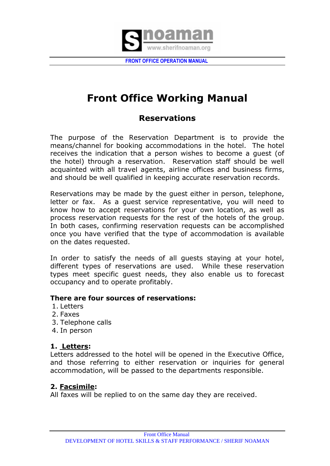

# **Front Office Working Manual**

# **Reservations**

The purpose of the Reservation Department is to provide the means/channel for booking accommodations in the hotel. The hotel receives the indication that a person wishes to become a guest (of the hotel) through a reservation. Reservation staff should be well acquainted with all travel agents, airline offices and business firms, and should be well qualified in keeping accurate reservation records.

Reservations may be made by the guest either in person, telephone, letter or fax. As a guest service representative, you will need to know how to accept reservations for your own location, as well as process reservation requests for the rest of the hotels of the group. In both cases, confirming reservation requests can be accomplished once you have verified that the type of accommodation is available on the dates requested.

In order to satisfy the needs of all guests staying at your hotel, different types of reservations are used. While these reservation types meet specific guest needs, they also enable us to forecast occupancy and to operate profitably.

# **There are four sources of reservations:**

- 1. Letters
- 2. Faxes
- 3. Telephone calls
- 4. In person

# **1. Letters:**

Letters addressed to the hotel will be opened in the Executive Office, and those referring to either reservation or inquiries for general accommodation, will be passed to the departments responsible.

# **2. Facsimile:**

All faxes will be replied to on the same day they are received.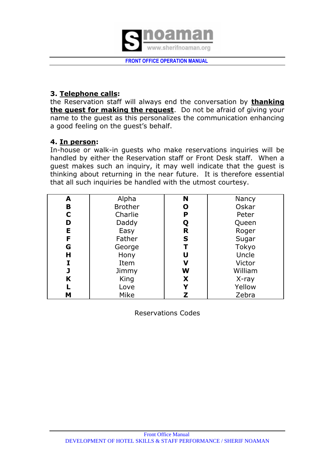

# **3. Telephone calls:**

the Reservation staff will always end the conversation by **thanking the guest for making the request**. Do not be afraid of giving your name to the guest as this personalizes the communication enhancing a good feeling on the guest's behalf.

# **4. In person:**

In-house or walk-in guests who make reservations inquiries will be handled by either the Reservation staff or Front Desk staff. When a guest makes such an inquiry, it may well indicate that the guest is thinking about returning in the near future. It is therefore essential that all such inquiries be handled with the utmost courtesy.

| A | Alpha          | N | Nancy   |
|---|----------------|---|---------|
| B | <b>Brother</b> | O | Oskar   |
| C | Charlie        | P | Peter   |
| D | Daddy          | Q | Queen   |
| E | Easy           | R | Roger   |
| F | Father         | S | Sugar   |
| G | George         | T | Tokyo   |
| н | Hony           | U | Uncle   |
| I | Item           | V | Victor  |
| J | Jimmy          | W | William |
| K | King           | X | X-ray   |
|   | Love           | Y | Yellow  |
| M | <b>Mike</b>    | Z | Zebra   |

Reservations Codes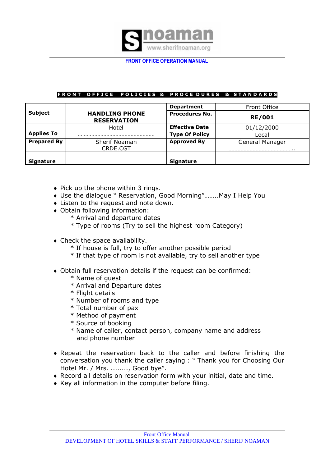

# FRONT OFFICE POLICIES & PROCEDURES & STANDARDS

|                    |                                             | <b>Department</b>     | Front Office    |
|--------------------|---------------------------------------------|-----------------------|-----------------|
| <b>Subject</b>     | <b>HANDLING PHONE</b><br><b>RESERVATION</b> | <b>Procedures No.</b> | <b>RE/001</b>   |
|                    | Hotel                                       | <b>Effective Date</b> | 01/12/2000      |
| <b>Applies To</b>  |                                             | <b>Type Of Policy</b> | Local           |
| <b>Prepared By</b> | <b>Sherif Noaman</b><br>CRDE.CGT            | <b>Approved By</b>    | General Manager |
| <b>Signature</b>   |                                             | <b>Signature</b>      |                 |

- $\bullet$  Pick up the phone within 3 rings.
- Use the dialogue " Reservation, Good Morning"……..May I Help You
- Listen to the request and note down.
- Obtain following information:
	- \* Arrival and departure dates
	- \* Type of rooms (Try to sell the highest room Category)
- Check the space availability.
	- \* If house is full, try to offer another possible period
	- \* If that type of room is not available, try to sell another type
- Obtain full reservation details if the request can be confirmed:
	- \* Name of guest
	- \* Arrival and Departure dates
	- \* Flight details
	- \* Number of rooms and type
	- \* Total number of pax
	- \* Method of payment
	- \* Source of booking
	- \* Name of caller, contact person, company name and address and phone number
- Repeat the reservation back to the caller and before finishing the conversation you thank the caller saying : " Thank you for Choosing Our Hotel Mr. / Mrs. ........, Good bye".
- Record all details on reservation form with your initial, date and time.
- Key all information in the computer before filing.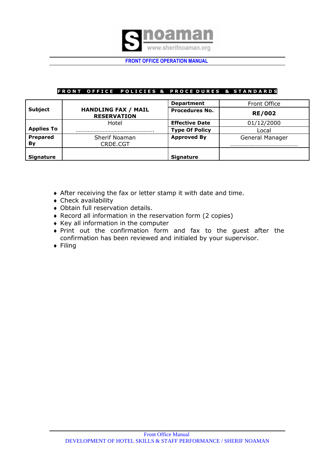

### FRONT OFFICE POLICIES & PROCEDURES & STANDARDS

|                       |                                                  | <b>Department</b>     | Front Office    |
|-----------------------|--------------------------------------------------|-----------------------|-----------------|
| <b>Subject</b>        | <b>HANDLING FAX / MAIL</b><br><b>RESERVATION</b> | <b>Procedures No.</b> | <b>RE/002</b>   |
|                       | Hotel                                            | <b>Effective Date</b> | 01/12/2000      |
| <b>Applies To</b>     |                                                  | <b>Type Of Policy</b> | Local           |
| <b>Prepared</b><br>By | <b>Sherif Noaman</b><br>CRDE.CGT                 | <b>Approved By</b>    | General Manager |
| <b>Signature</b>      |                                                  | <b>Signature</b>      |                 |

- After receiving the fax or letter stamp it with date and time.
- Check availability
- Obtain full reservation details.
- Record all information in the reservation form (2 copies)
- $\triangleleft$  Key all information in the computer
- Print out the confirmation form and fax to the guest after the confirmation has been reviewed and initialed by your supervisor.
- $\triangleleft$  Filing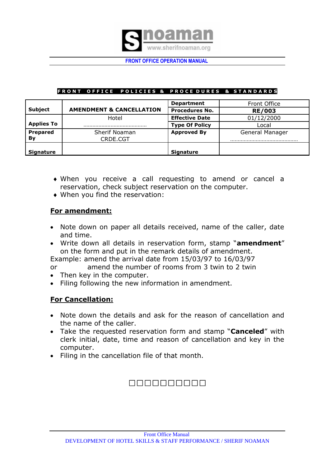

# FRONT OFFICE POLICIES & PROCEDURES & STANDARDS

|                   |                                     | <b>Department</b>     | Front Office    |
|-------------------|-------------------------------------|-----------------------|-----------------|
| <b>Subject</b>    | <b>AMENDMENT &amp; CANCELLATION</b> | <b>Procedures No.</b> | <b>RE/003</b>   |
|                   | Hotel                               | <b>Effective Date</b> | 01/12/2000      |
| <b>Applies To</b> |                                     | <b>Type Of Policy</b> | Local           |
| Prepared          | Sherif Noaman                       | <b>Approved By</b>    | General Manager |
| Bv                | CRDE.CGT                            |                       |                 |
|                   |                                     |                       |                 |
| <b>Signature</b>  |                                     | <b>Signature</b>      |                 |

- When you receive a call requesting to amend or cancel a reservation, check subject reservation on the computer.
- When you find the reservation:

# **For amendment:**

- Note down on paper all details received, name of the caller, date and time.
- Write down all details in reservation form, stamp "**amendment**" on the form and put in the remark details of amendment.
- Example: amend the arrival date from 15/03/97 to 16/03/97
- or amend the number of rooms from 3 twin to 2 twin
- Then key in the computer.
- Filing following the new information in amendment.

# **For Cancellation:**

- Note down the details and ask for the reason of cancellation and the name of the caller.
- Take the requested reservation form and stamp "**Canceled**" with clerk initial, date, time and reason of cancellation and key in the computer.
- Filing in the cancellation file of that month.

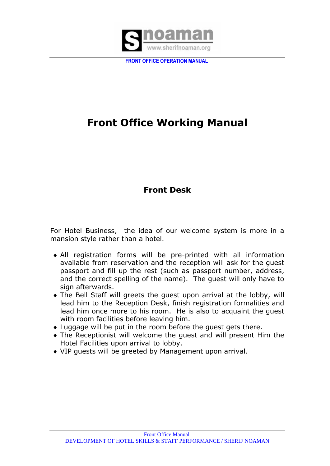

# **Front Office Working Manual**

# **Front Desk**

For Hotel Business, the idea of our welcome system is more in a mansion style rather than a hotel.

- All registration forms will be pre-printed with all information available from reservation and the reception will ask for the guest passport and fill up the rest (such as passport number, address, and the correct spelling of the name). The guest will only have to sign afterwards.
- The Bell Staff will greets the guest upon arrival at the lobby, will lead him to the Reception Desk, finish registration formalities and lead him once more to his room. He is also to acquaint the guest with room facilities before leaving him.
- Luggage will be put in the room before the guest gets there.
- The Receptionist will welcome the guest and will present Him the Hotel Facilities upon arrival to lobby.
- VIP guests will be greeted by Management upon arrival.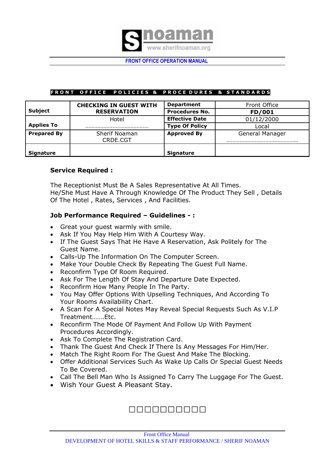

### FRONT OFFICE POLICIES & PROCEDURES & STANDARDS

|                    | <b>CHECKING IN GUEST WITH</b> | <b>Department</b>     | Front Office    |
|--------------------|-------------------------------|-----------------------|-----------------|
| <b>Subject</b>     | <b>RESERVATION</b>            | <b>Procedures No.</b> | FD/001          |
|                    | Hotel                         | <b>Effective Date</b> | 01/12/2000      |
| <b>Applies To</b>  |                               | <b>Type Of Policy</b> | Local           |
| <b>Prepared By</b> | Sherif Noaman<br>CRDE.CGT     | <b>Approved By</b>    | General Manager |
| <b>Signature</b>   |                               | Signature             |                 |

# **Service Required :**

The Receptionist Must Be A Sales Representative At All Times. He/She Must Have A Through Knowledge Of The Product They Sell , Details Of The Hotel , Rates, Services , And Facilities.

# **Job Performance Required – Guidelines - :**

- Great your guest warmly with smile.
- Ask If You May Help Him With A Courtesy Way.
- If The Guest Says That He Have A Reservation, Ask Politely for The Guest Name.
- Calls-Up The Information On The Computer Screen.
- Make Your Double Check By Repeating The Guest Full Name.
- Reconfirm Type Of Room Required.
- Ask For The Length Of Stay And Departure Date Expected.
- Reconfirm How Many People In The Party.
- You May Offer Options With Upselling Techniques, And According To Your Rooms Availability Chart.
- A Scan For A Special Notes May Reveal Special Requests Such As V.I.P Treatment…….Etc.
- Reconfirm The Mode Of Payment And Follow Up With Payment Procedures Accordingly.
- Ask To Complete The Registration Card.
- Thank The Guest And Check If There Is Any Messages For Him/Her.
- Match The Right Room For The Guest And Make The Blocking.
- Offer Additional Services Such As Wake Up Calls Or Special Guest Needs To Be Covered.
- Call The Bell Man Who Is Assigned To Carry The Luggage For The Guest.
- Wish Your Guest A Pleasant Stay.

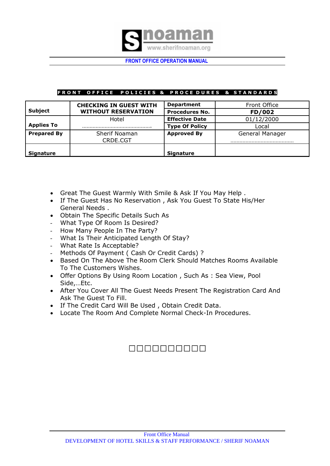

# FRONT OFFICE POLICIES & PROCEDURES & STANDARDS

|                    | <b>CHECKING IN GUEST WITH</b> | <b>Department</b>     | Front Office    |
|--------------------|-------------------------------|-----------------------|-----------------|
| <b>Subject</b>     | <b>WITHOUT RESERVATION</b>    | <b>Procedures No.</b> | FD/002          |
|                    | Hotel                         | <b>Effective Date</b> | 01/12/2000      |
| <b>Applies To</b>  |                               | <b>Type Of Policy</b> | Local           |
| <b>Prepared By</b> | Sherif Noaman<br>CRDE.CGT     | <b>Approved By</b>    | General Manager |
| <b>Signature</b>   |                               | <b>Signature</b>      |                 |

- Great The Guest Warmly With Smile & Ask If You May Help .
- If The Guest Has No Reservation, Ask You Guest To State His/Her General Needs .
- Obtain The Specific Details Such As
- What Type Of Room Is Desired?
- How Many People In The Party?
- What Is Their Anticipated Length Of Stay?
- What Rate Is Acceptable?
- Methods Of Payment ( Cash Or Credit Cards) ?
- Based On The Above The Room Clerk Should Matches Rooms Available To The Customers Wishes.
- Offer Options By Using Room Location , Such As : Sea View, Pool Side,…Etc.
- After You Cover All The Guest Needs Present The Registration Card And Ask The Guest To Fill.
- If The Credit Card Will Be Used , Obtain Credit Data.
- Locate The Room And Complete Normal Check-In Procedures.

# 0000000000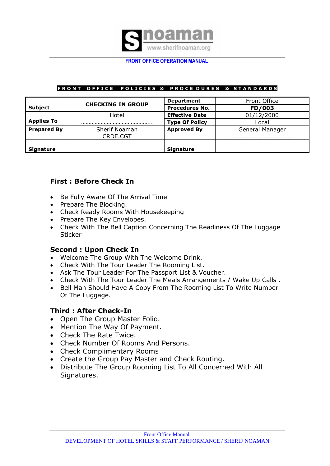

# FRONT OFFICE POLICIES & PROCEDURES & STANDARDS

|                    | <b>CHECKING IN GROUP</b>  | <b>Department</b>     | Front Office    |
|--------------------|---------------------------|-----------------------|-----------------|
| <b>Subject</b>     |                           | <b>Procedures No.</b> | FD/003          |
|                    | Hotel                     | <b>Effective Date</b> | 01/12/2000      |
| <b>Applies To</b>  |                           | <b>Type Of Policy</b> | Local           |
| <b>Prepared By</b> | Sherif Noaman<br>CRDE.CGT | <b>Approved By</b>    | General Manager |
| <b>Signature</b>   |                           | <b>Signature</b>      |                 |

# **First : Before Check In**

- Be Fully Aware Of The Arrival Time
- Prepare The Blocking.
- Check Ready Rooms With Housekeeping
- Prepare The Key Envelopes.
- Check With The Bell Caption Concerning The Readiness Of The Luggage **Sticker**

# **Second : Upon Check In**

- Welcome The Group With The Welcome Drink.
- Check With The Tour Leader The Rooming List.
- Ask The Tour Leader For The Passport List & Voucher.
- Check With The Tour Leader The Meals Arrangements / Wake Up Calls .
- Bell Man Should Have A Copy From The Rooming List To Write Number Of The Luggage.

# **Third : After Check-In**

- Open The Group Master Folio.
- Mention The Way Of Payment.
- Check The Rate Twice.
- Check Number Of Rooms And Persons.
- Check Complimentary Rooms
- Create the Group Pay Master and Check Routing.
- Distribute The Group Rooming List To All Concerned With All Signatures.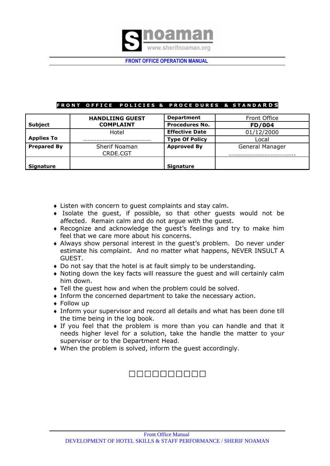

# FRONT OFFICE POLICIES & PROCEDURES & STANDARDS

|                    | <b>HANDLIING GUEST</b>    | <b>Department</b>     | Front Office    |
|--------------------|---------------------------|-----------------------|-----------------|
| <b>Subject</b>     | <b>COMPLAINT</b>          | <b>Procedures No.</b> | FD/004          |
|                    | Hotel                     | <b>Effective Date</b> | 01/12/2000      |
| <b>Applies To</b>  |                           | <b>Type Of Policy</b> | Local           |
| <b>Prepared By</b> | Sherif Noaman<br>CRDE.CGT | <b>Approved By</b>    | General Manager |
| <b>Signature</b>   |                           | Signature             |                 |

- Listen with concern to guest complaints and stay calm.
- Isolate the guest, if possible, so that other guests would not be affected. Remain calm and do not argue with the guest.
- Recognize and acknowledge the guest's feelings and try to make him feel that we care more about his concerns.
- Always show personal interest in the guest's problem. Do never under estimate his complaint. And no matter what happens, NEVER INSULT A GUEST.
- Do not say that the hotel is at fault simply to be understanding.
- Noting down the key facts will reassure the guest and will certainly calm him down.
- Tell the guest how and when the problem could be solved.
- Inform the concerned department to take the necessary action.
- Follow up
- Inform your supervisor and record all details and what has been done till the time being in the log book.
- If you feel that the problem is more than you can handle and that it needs higher level for a solution, take the handle the matter to your supervisor or to the Department Head.
- When the problem is solved, inform the guest accordingly.

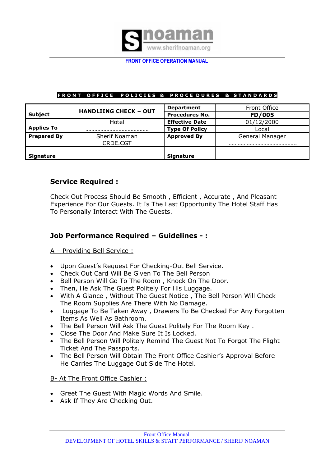

# FRONT OFFICE POLICIES & PROCEDURES & STANDARDS

|               | <b>Department</b>            | Front Office     |
|---------------|------------------------------|------------------|
|               | <b>Procedures No.</b>        | FD/005           |
| Hotel         | <b>Effective Date</b>        | 01/12/2000       |
|               | <b>Type Of Policy</b>        | Local            |
| Sherif Noaman | <b>Approved By</b>           | General Manager  |
| CRDE.CGT      |                              |                  |
|               |                              |                  |
|               | <b>HANDLIING CHECK - OUT</b> | <b>Signature</b> |

# **Service Required :**

Check Out Process Should Be Smooth , Efficient , Accurate , And Pleasant Experience For Our Guests. It Is The Last Opportunity The Hotel Staff Has To Personally Interact With The Guests.

# **Job Performance Required – Guidelines - :**

# A – Providing Bell Service :

- Upon Guest's Request For Checking-Out Bell Service.
- Check Out Card Will Be Given To The Bell Person
- Bell Person Will Go To The Room, Knock On The Door.
- Then, He Ask The Guest Politely For His Luggage.
- With A Glance , Without The Guest Notice , The Bell Person Will Check The Room Supplies Are There With No Damage.
- Luggage To Be Taken Away , Drawers To Be Checked For Any Forgotten Items As Well As Bathroom.
- The Bell Person Will Ask The Guest Politely For The Room Key .
- Close The Door And Make Sure It Is Locked.
- The Bell Person Will Politely Remind The Guest Not To Forgot The Flight Ticket And The Passports.
- The Bell Person Will Obtain The Front Office Cashier's Approval Before He Carries The Luggage Out Side The Hotel.

# B- At The Front Office Cashier :

- Greet The Guest With Magic Words And Smile.
- Ask If They Are Checking Out.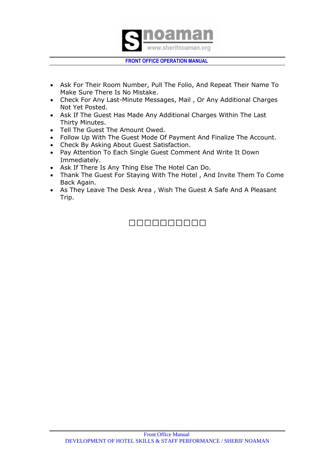

- Ask For Their Room Number, Pull The Folio, And Repeat Their Name To Make Sure There Is No Mistake.
- Check For Any Last-Minute Messages, Mail , Or Any Additional Charges Not Yet Posted.
- Ask If The Guest Has Made Any Additional Charges Within The Last Thirty Minutes.
- Tell The Guest The Amount Owed.
- Follow Up With The Guest Mode Of Payment And Finalize The Account.
- Check By Asking About Guest Satisfaction.
- Pay Attention To Each Single Guest Comment And Write It Down Immediately.
- Ask If There Is Any Thing Else The Hotel Can Do.
- Thank The Guest For Staying With The Hotel , And Invite Them To Come Back Again.
- As They Leave The Desk Area, Wish The Guest A Safe And A Pleasant Trip.

# 0000000000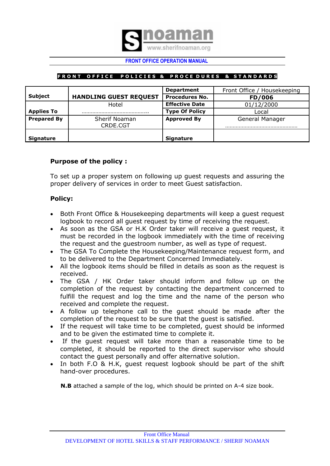

### **FRONT OFFICE POLICIES & PROCEDURES & STANDARDS**

|                    |                               | <b>Department</b>     | Front Office / Housekeeping |
|--------------------|-------------------------------|-----------------------|-----------------------------|
| <b>Subject</b>     | <b>HANDLING GUEST REQUEST</b> | <b>Procedures No.</b> | FD/006                      |
|                    | Hotel                         | <b>Effective Date</b> | 01/12/2000                  |
| <b>Applies To</b>  |                               | <b>Type Of Policy</b> | Local                       |
| <b>Prepared By</b> | Sherif Noaman<br>CRDE.CGT     | <b>Approved By</b>    | General Manager             |
| <b>Signature</b>   |                               | <b>Signature</b>      |                             |

# **Purpose of the policy :**

To set up a proper system on following up guest requests and assuring the proper delivery of services in order to meet Guest satisfaction.

# **Policy:**

- Both Front Office & Housekeeping departments will keep a quest request logbook to record all guest request by time of receiving the request.
- As soon as the GSA or H.K Order taker will receive a guest request, it must be recorded in the logbook immediately with the time of receiving the request and the guestroom number, as well as type of request.
- The GSA To Complete the Housekeeping/Maintenance request form, and to be delivered to the Department Concerned Immediately.
- All the logbook items should be filled in details as soon as the request is received.
- The GSA / HK Order taker should inform and follow up on the completion of the request by contacting the department concerned to fulfill the request and log the time and the name of the person who received and complete the request.
- A follow up telephone call to the guest should be made after the completion of the request to be sure that the guest is satisfied.
- If the request will take time to be completed, quest should be informed and to be given the estimated time to complete it.
- If the guest request will take more than a reasonable time to be completed, it should be reported to the direct supervisor who should contact the guest personally and offer alternative solution.
- In both F.O & H.K, guest request logbook should be part of the shift hand-over procedures.

**N.B** attached a sample of the log, which should be printed on A-4 size book.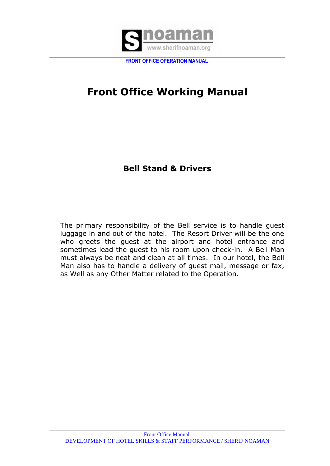

# **Front Office Working Manual**

# **Bell Stand & Drivers**

The primary responsibility of the Bell service is to handle guest luggage in and out of the hotel. The Resort Driver will be the one who greets the guest at the airport and hotel entrance and sometimes lead the guest to his room upon check-in. A Bell Man must always be neat and clean at all times. In our hotel, the Bell Man also has to handle a delivery of guest mail, message or fax, as Well as any Other Matter related to the Operation.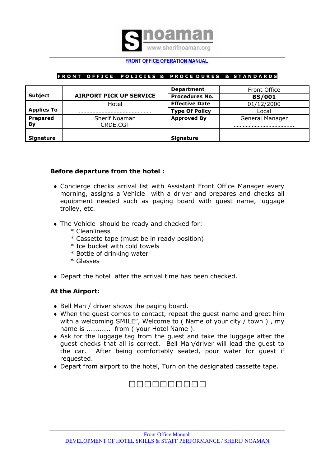

### **FRONT OFFICE POLICIES & PROCEDURES & STANDARDS**

|                   |                         | <b>Department</b>     | Front Office    |
|-------------------|-------------------------|-----------------------|-----------------|
| <b>Subject</b>    | AIRPORT PICK UP SERVICE | <b>Procedures No.</b> | <b>BS/001</b>   |
|                   | Hotel                   | <b>Effective Date</b> | 01/12/2000      |
| <b>Applies To</b> |                         | <b>Type Of Policy</b> | Local           |
| Prepared          | Sherif Noaman           | <b>Approved By</b>    | General Manager |
| By                | CRDE.CGT                |                       |                 |
| <b>Signature</b>  |                         | <b>Signature</b>      |                 |

# **Before departure from the hotel :**

- Concierge checks arrival list with Assistant Front Office Manager every morning, assigns a Vehicle with a driver and prepares and checks all equipment needed such as paging board with guest name, luggage trolley, etc.
- The Vehicle should be ready and checked for:
	- \* Cleanliness
	- \* Cassette tape (must be in ready position)
	- \* Ice bucket with cold towels
	- \* Bottle of drinking water
	- \* Glasses
- Depart the hotel after the arrival time has been checked.

# **At the Airport:**

- ◆ Bell Man / driver shows the paging board.
- When the guest comes to contact, repeat the guest name and greet him with a welcoming SMILE", Welcome to ( Name of your city / town ) , my name is ........... from ( your Hotel Name ).
- Ask for the luggage tag from the guest and take the luggage after the guest checks that all is correct. Bell Man/driver will lead the guest to the car. After being comfortably seated, pour water for guest if requested.
- Depart from airport to the hotel, Turn on the designated cassette tape.

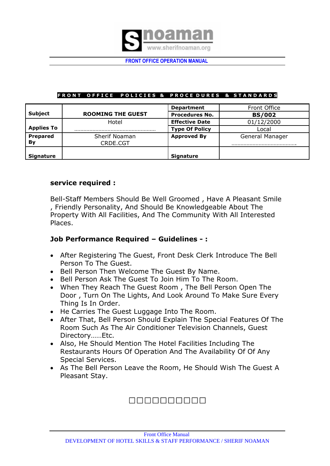

# FRONT OFFICE POLICIES & PROCEDURES & STANDARDS

|                   |                          | <b>Department</b>     | Front Office    |
|-------------------|--------------------------|-----------------------|-----------------|
| <b>Subject</b>    | <b>ROOMING THE GUEST</b> | <b>Procedures No.</b> | <b>BS/002</b>   |
|                   | Hotel                    | <b>Effective Date</b> | 01/12/2000      |
| <b>Applies To</b> |                          | <b>Type Of Policy</b> | Local           |
| <b>Prepared</b>   | Sherif Noaman            | <b>Approved By</b>    | General Manager |
| By                | CRDE.CGT                 |                       |                 |
| <b>Signature</b>  |                          | <b>Signature</b>      |                 |

# **service required :**

Bell-Staff Members Should Be Well Groomed , Have A Pleasant Smile , Friendly Personality, And Should Be Knowledgeable About The Property With All Facilities, And The Community With All Interested Places.

# **Job Performance Required – Guidelines - :**

- After Registering The Guest, Front Desk Clerk Introduce The Bell Person To The Guest.
- Bell Person Then Welcome The Guest By Name.
- Bell Person Ask The Guest To Join Him To The Room.
- When They Reach The Guest Room , The Bell Person Open The Door , Turn On The Lights, And Look Around To Make Sure Every Thing Is In Order.
- He Carries The Guest Luggage Into The Room.
- After That, Bell Person Should Explain The Special Features Of The Room Such As The Air Conditioner Television Channels, Guest Directory……Etc.
- Also, He Should Mention The Hotel Facilities Including The Restaurants Hours Of Operation And The Availability Of Of Any Special Services.
- As The Bell Person Leave the Room, He Should Wish The Guest A Pleasant Stay.

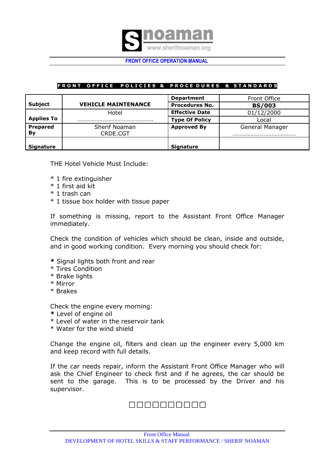

### FRONT OFFICE POLICIES & PROCEDURES & STANDARDS

|                   |                            | <b>Department</b>     | Front Office    |
|-------------------|----------------------------|-----------------------|-----------------|
| <b>Subject</b>    | <b>VEHICLE MAINTENANCE</b> | <b>Procedures No.</b> | <b>BS/003</b>   |
|                   | Hotel                      | <b>Effective Date</b> | 01/12/2000      |
| <b>Applies To</b> |                            | <b>Type Of Policy</b> | Local           |
| <b>Prepared</b>   | Sherif Noaman              | <b>Approved By</b>    | General Manager |
| By                | CRDE.CGT                   |                       |                 |
| <b>Signature</b>  |                            | <b>Signature</b>      |                 |

THE Hotel Vehicle Must Include:

- \* 1 fire extinguisher
- \* 1 first aid kit
- \* 1 trash can
- \* 1 tissue box holder with tissue paper

If something is missing, report to the Assistant Front Office Manager immediately.

Check the condition of vehicles which should be clean, inside and outside, and in good working condition. Every morning you should check for:

- **\*** Signal lights both front and rear
- \* Tires Condition
- \* Brake lights
- \* Mirror
- \* Brakes

Check the engine every morning:

- **\*** Level of engine oil
- \* Level of water in the reservoir tank
- \* Water for the wind shield

Change the engine oil, filters and clean up the engineer every 5,000 km and keep record with full details.

If the car needs repair, inform the Assistant Front Office Manager who will ask the Chief Engineer to check first and if he agrees, the car should be sent to the garage. This is to be processed by the Driver and his supervisor.